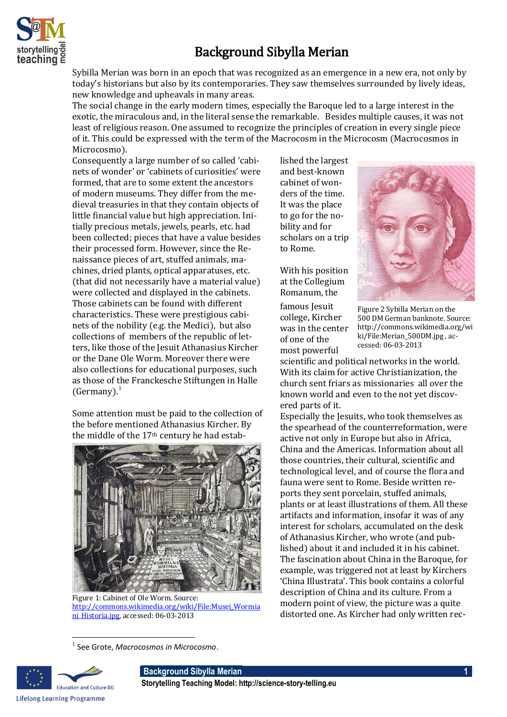

## Background Sibylla Merian

Sybilla Merian was born in an epoch that was recognized as an emergence in a new era, not only by today's historians but also by its contemporaries. They saw themselves surrounded by lively ideas, new knowledge and upheavals in many areas.

The social change in the early modern times, especially the Baroque led to a large interest in the exotic, the miraculous and, in the literal sense the remarkable. Besides multiple causes, it was not least of religious reason. One assumed to recognize the principles of creation in every single piece of it. This could be expressed with the term of the Macrocosm in the Microcosm (Macrocosmos in Microcosmo).

Consequently a large number of so called 'cabinets of wonder' or 'cabinets of curiosities' were formed, that are to some extent the ancestors of modern museums. They differ from the medieval treasuries in that they contain objects of little financial value but high appreciation. Initially precious metals, jewels, pearls, etc. had been collected; pieces that have a value besides their processed form. However, since the Renaissance pieces of art, stuffed animals, machines, dried plants, optical apparatuses, etc. (that did not necessarily have a material value) were collected and displayed in the cabinets. Those cabinets can be found with different characteristics. These were prestigious cabinets of the nobility (e.g. the Medici), but also collections of members of the republic of letters, like those of the Jesuit Athanasius Kircher or the Dane Ole Worm. Moreover there were also collections for educational purposes, such as those of the Franckesche Stiftungen in Halle (Germany). $<sup>1</sup>$ </sup>

Some attention must be paid to the collection of the before mentioned Athanasius Kircher. By the middle of the 17th century he had estab-



Figure 1: Cabinet of Ole Worm. Source: [http://commons.wikimedia.org/wiki/File:Musei\\_Wormia](http://commons.wikimedia.org/wiki/File:Musei_Wormiani_Historia.jpg) [ni\\_Historia.jpg,](http://commons.wikimedia.org/wiki/File:Musei_Wormiani_Historia.jpg) accessed: 06-03-2013

lished the largest and best-known cabinet of wonders of the time. It was the place to go for the nobility and for scholars on a trip to Rome.

With his position at the Collegium Romanum, the

famous Jesuit college, Kircher was in the center of one of the most powerful



Figure 2 Sybilla Merian on the 500 DM German banknote. Source: http://commons.wikimedia.org/wi ki/File:Merian\_500DM.jpg , accessed: 06-03-2013

scientific and political networks in the world. With its claim for active Christianization, the church sent friars as missionaries all over the known world and even to the not yet discovered parts of it.

Especially the Jesuits, who took themselves as the spearhead of the counterreformation, were active not only in Europe but also in Africa, China and the Americas. Information about all those countries, their cultural, scientific and technological level, and of course the flora and fauna were sent to Rome. Beside written reports they sent porcelain, stuffed animals, plants or at least illustrations of them. All these artifacts and information, insofar it was of any interest for scholars, accumulated on the desk of Athanasius Kircher, who wrote (and published) about it and included it in his cabinet. The fascination about China in the Baroque, for example, was triggered not at least by Kirchers 'China Illustrata'. This book contains a colorful description of China and its culture. From a modern point of view, the picture was a quite distorted one. As Kircher had only written rec-

<sup>1</sup> See Grote, *Macrocosmos in Microcosmo*.



 $\overline{\phantom{0}}$ 

**Background Sibylla Merian 1 Storytelling Teaching Model: http://science-story-telling.eu**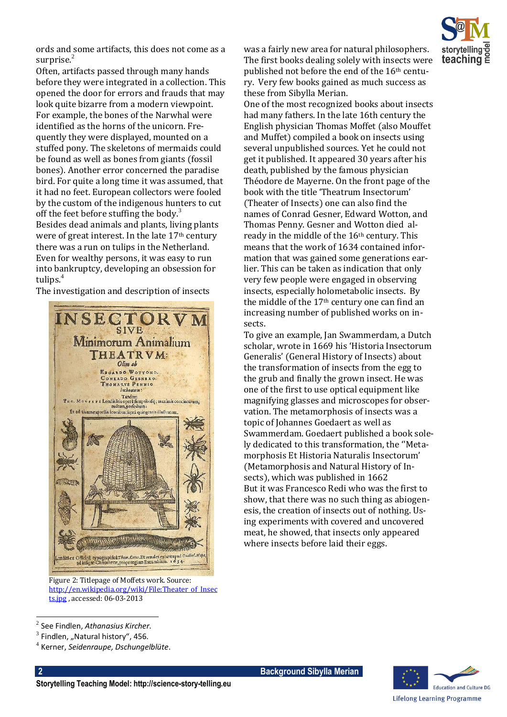

ords and some artifacts, this does not come as a surprise. $2$ 

Often, artifacts passed through many hands before they were integrated in a collection. This opened the door for errors and frauds that may look quite bizarre from a modern viewpoint. For example, the bones of the Narwhal were identified as the horns of the unicorn. Frequently they were displayed, mounted on a stuffed pony. The skeletons of mermaids could be found as well as bones from giants (fossil bones). Another error concerned the paradise bird. For quite a long time it was assumed, that it had no feet. European collectors were fooled by the custom of the indigenous hunters to cut off the feet before stuffing the body. $3$ Besides dead animals and plants, living plants were of great interest. In the late 17th century there was a run on tulips in the Netherland. Even for wealthy persons, it was easy to run into bankruptcy, developing an obsession for tulips.<sup>4</sup>

The investigation and description of insects



Figure 2: Titlepage of Moffets work. Source: [http://en.wikipedia.org/wiki/File:Theater\\_of\\_Insec](http://en.wikipedia.org/wiki/File:Theater_of_Insects.jpg)

was a fairly new area for natural philosophers. The first books dealing solely with insects were published not before the end of the 16th century. Very few books gained as much success as these from Sibylla Merian.

One of the most recognized books about insects had many fathers. In the late 16th century the English physician Thomas Moffet (also Mouffet and Muffet) compiled a book on insects using several unpublished sources. Yet he could not get it published. It appeared 30 years after his death, published by the famous physician Théodore de Mayerne. On the front page of the book with the title 'Theatrum Insectorum' (Theater of Insects) one can also find the names of Conrad Gesner, Edward Wotton, and Thomas Penny. Gesner and Wotton died already in the middle of the 16th century. This means that the work of 1634 contained information that was gained some generations earlier. This can be taken as indication that only very few people were engaged in observing insects, especially holometabolic insects. By the middle of the 17th century one can find an increasing number of published works on insects.

To give an example, Jan Swammerdam, a Dutch scholar, wrote in 1669 his 'Historia Insectorum Generalis' (General History of Insects) about the transformation of insects from the egg to the grub and finally the grown insect. He was one of the first to use optical equipment like magnifying glasses and microscopes for observation. The metamorphosis of insects was a topic of Johannes Goedaert as well as Swammerdam. Goedaert published a book solely dedicated to this transformation, the ''Metamorphosis Et Historia Naturalis Insectorum' (Metamorphosis and Natural History of Insects), which was published in 1662 But it was Francesco Redi who was the first to show, that there was no such thing as abiogenesis, the creation of insects out of nothing. Using experiments with covered and uncovered meat, he showed, that insects only appeared where insects before laid their eggs.

 $\overline{\phantom{0}}$ 



[ts.jpg](http://en.wikipedia.org/wiki/File:Theater_of_Insects.jpg) , accessed: 06-03-2013

<sup>2</sup> See Findlen, *Athanasius Kircher*.

 $^3$  Findlen, "Natural history", 456.

<sup>4</sup> Kerner, *Seidenraupe, Dschungelblüte*.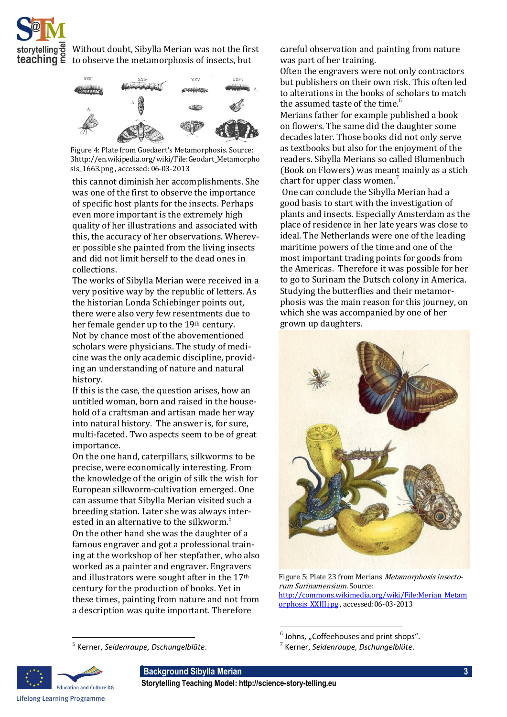

Without doubt, Sibylla Merian was not the first **teaching**  $\tilde{\mathbf{e}}$  to observe the metamorphosis of insects, but



Figure 4: Plate from Goedaert's Metamorphosis. Source: 3http://en.wikipedia.org/wiki/File:Geodart\_Metamorpho sis\_1663.png , accessed: 06-03-2013

this cannot diminish her accomplishments. She was one of the first to observe the importance of specific host plants for the insects. Perhaps even more important is the extremely high quality of her illustrations and associated with this, the accuracy of her observations. Wherever possible she painted from the living insects and did not limit herself to the dead ones in collections.

The works of Sibylla Merian were received in a very positive way by the republic of letters. As the historian Londa Schiebinger points out, there were also very few resentments due to her female gender up to the 19<sup>th</sup> century. Not by chance most of the abovementioned scholars were physicians. The study of medicine was the only academic discipline, providing an understanding of nature and natural history.

If this is the case, the question arises, how an untitled woman, born and raised in the household of a craftsman and artisan made her way into natural history. The answer is, for sure, multi-faceted. Two aspects seem to be of great importance.

On the one hand, caterpillars, silkworms to be precise, were economically interesting. From the knowledge of the origin of silk the wish for European silkworm-cultivation emerged. One can assume that Sibylla Merian visited such a breeding station. Later she was always interested in an alternative to the silkworm.<sup>5</sup> On the other hand she was the daughter of a famous engraver and got a professional training at the workshop of her stepfather, who also worked as a painter and engraver. Engravers and illustrators were sought after in the 17th century for the production of books. Yet in these times, painting from nature and not from a description was quite important. Therefore

5 Kerner, *Seidenraupe, Dschungelblüte*.

careful observation and painting from nature was part of her training.

Often the engravers were not only contractors but publishers on their own risk. This often led to alterations in the books of scholars to match the assumed taste of the time.<sup>6</sup>

Merians father for example published a book on flowers. The same did the daughter some decades later. Those books did not only serve as textbooks but also for the enjoyment of the readers. Sibylla Merians so called Blumenbuch (Book on Flowers) was meant mainly as a stich chart for upper class women.<sup>7</sup>

One can conclude the Sibylla Merian had a good basis to start with the investigation of plants and insects. Especially Amsterdam as the place of residence in her late years was close to ideal. The Netherlands were one of the leading maritime powers of the time and one of the most important trading points for goods from the Americas. Therefore it was possible for her to go to Surinam the Dutsch colony in America. Studying the butterflies and their metamorphosis was the main reason for this journey, on which she was accompanied by one of her grown up daughters.



Figure 5: Plate 23 from Merians Metamorphosis insectorum Surinamensium. Source: [http://commons.wikimedia.org/wiki/File:Merian\\_Metam](http://commons.wikimedia.org/wiki/File:Merian_Metamorphosis_XXIII.jpg) [orphosis\\_XXIII.jpg](http://commons.wikimedia.org/wiki/File:Merian_Metamorphosis_XXIII.jpg) , accessed:06-03-2013

 $^6$  Johns, "Coffeehouses and print shops".



 $\overline{\phantom{0}}$ 

**Background Sibylla Merian 3**

**Storytelling Teaching Model: http://science-story-telling.eu**

 $\overline{a}$ 

<sup>7</sup> Kerner, *Seidenraupe, Dschungelblüte*.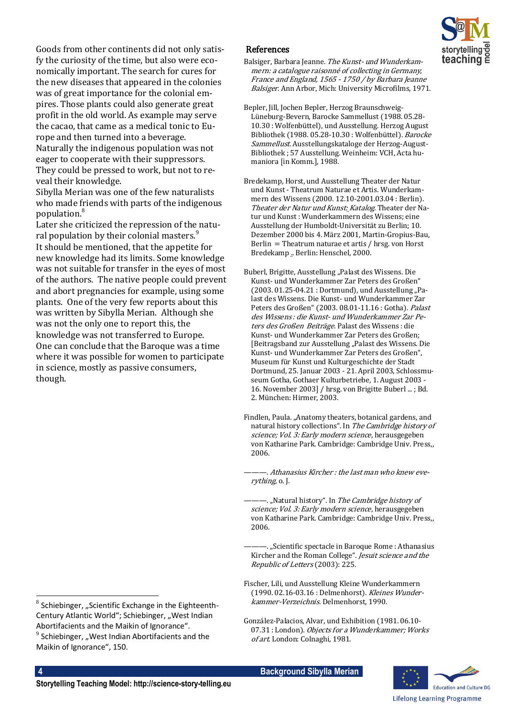

Goods from other continents did not only satisfy the curiosity of the time, but also were economically important. The search for cures for the new diseases that appeared in the colonies was of great importance for the colonial empires. Those plants could also generate great profit in the old world. As example may serve the cacao, that came as a medical tonic to Europe and then turned into a beverage. Naturally the indigenous population was not eager to cooperate with their suppressors. They could be pressed to work, but not to re-

veal their knowledge. Sibylla Merian was one of the few naturalists who made friends with parts of the indigenous population.<sup>8</sup>

Later she criticized the repression of the natural population by their colonial masters.<sup>9</sup> It should be mentioned, that the appetite for new knowledge had its limits. Some knowledge was not suitable for transfer in the eyes of most of the authors. The native people could prevent and abort pregnancies for example, using some plants. One of the very few reports about this was written by Sibylla Merian. Although she was not the only one to report this, the knowledge was not transferred to Europe. One can conclude that the Baroque was a time where it was possible for women to participate in science, mostly as passive consumers, though.

## References

- Balsiger, Barbara Jeanne. The Kunst- und Wunderkammern: a catalogue raisonné of collecting in Germany, France and England, 1565 - 1750 / by Barbara Jeanne Balsiger. Ann Arbor, Mich: University Microfilms, 1971.
- Bepler, Jill, Jochen Bepler, Herzog Braunschweig-Lüneburg-Bevern, Barocke Sammellust (1988. 05.28- 10.30 : Wolfenbüttel), und Ausstellung. Herzog August Bibliothek (1988. 05.28-10.30 : Wolfenbüttel). Barocke Sammellust. Ausstellungskataloge der Herzog-August-Bibliothek ; 57 Ausstellung. Weinheim: VCH, Acta humaniora [in Komm.], 1988.
- Bredekamp, Horst, und Ausstellung Theater der Natur und Kunst - Theatrum Naturae et Artis. Wunderkammern des Wissens (2000. 12.10-2001.03.04 : Berlin). Theater der Natur und Kunst: Katalog. Theater der Natur und Kunst: Wunderkammern des Wissens; eine Ausstellung der Humboldt-Universität zu Berlin; 10. Dezember 2000 bis 4. März 2001, Martin-Gropius-Bau, Berlin  $=$  Theatrum naturae et artis / hrsg. von Horst Bredekamp .. Berlin: Henschel, 2000.
- Buberl, Brigitte, Ausstellung "Palast des Wissens. Die Kunst- und Wunderkammer Zar Peters des Großen" (2003. 01.25-04.21 : Dortmund), und Ausstellung "Palast des Wissens. Die Kunst- und Wunderkammer Zar Peters des Großen" (2003. 08.01-11.16 : Gotha). Palast des Wissens : die Kunst- und Wunderkammer Zar Peters des Großen Beiträge. Palast des Wissens : die Kunst- und Wunderkammer Zar Peters des Großen; [Beitragsband zur Ausstellung "Palast des Wissens. Die Kunst- und Wunderkammer Zar Peters des Großen", Museum für Kunst und Kulturgeschichte der Stadt Dortmund, 25. Januar 2003 - 21. April 2003, Schlossmuseum Gotha, Gothaer Kulturbetriebe, 1. August 2003 - 16. November 2003] / hrsg. von Brigitte Buberl ...; Bd. 2. München: Hirmer, 2003.
- Findlen, Paula. "Anatomy theaters, botanical gardens, and natural history collections". In The Cambridge history of science; Vol. 3: Early modern science, herausgegeben von Katharine Park. Cambridge: Cambridge Univ. Press,, 2006.

———. Athanasius ircher : the last man who knew everything, o. J.

- -. "Natural history". In The Cambridge history of science; Vol. 3: Early modern science, herausgegeben von Katharine Park. Cambridge: Cambridge Univ. Press,, 2006.
- ———. "Scientific spectacle in Baroque Rome : Athanasius Kircher and the Roman College". Jesuit science and the Republic of Letters (2003): 225.
- Fischer, Lili, und Ausstellung Kleine Wunderkammern (1990. 02.16-03.16 : Delmenhorst). Kleines Wunderkammer-Verzeichnis. Delmenhorst, 1990.
- González-Palacios, Alvar, und Exhibition (1981. 06.10- 07.31 : London). Objects for a Wunderkammer; Works of art. London: Colnaghi, 1981.

**4 Background Sibylla Merian**



l  $^8$  Schiebinger, "Scientific Exchange in the Eighteenth-Century Atlantic World"; Schiebinger, "West Indian Abortifacients and the Maikin of Ignorance".  $^9$  Schiebinger, "West Indian Abortifacients and the Maikin of Ignorance", 150.